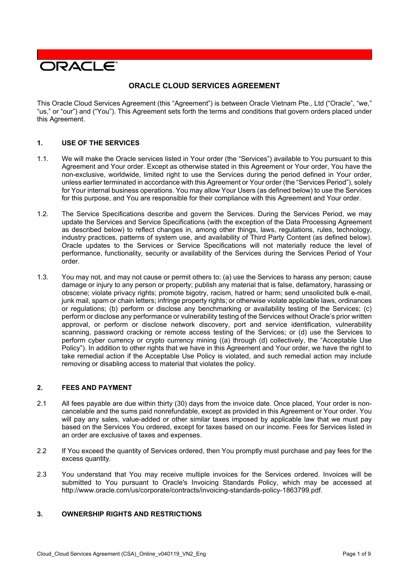# ORACLE<sup>®</sup>

# **ORACLE CLOUD SERVICES AGREEMENT**

This Oracle Cloud Services Agreement (this "Agreement") is between Oracle Vietnam Pte., Ltd ("Oracle", "we," "us," or "our") and ("You"). This Agreement sets forth the terms and conditions that govern orders placed under this Agreement.

# **1. USE OF THE SERVICES**

- 1.1. We will make the Oracle services listed in Your order (the "Services") available to You pursuant to this Agreement and Your order. Except as otherwise stated in this Agreement or Your order, You have the non-exclusive, worldwide, limited right to use the Services during the period defined in Your order, unless earlier terminated in accordance with this Agreement or Your order (the "Services Period"), solely for Your internal business operations. You may allow Your Users (as defined below) to use the Services for this purpose, and You are responsible for their compliance with this Agreement and Your order.
- 1.2. The Service Specifications describe and govern the Services. During the Services Period, we may update the Services and Service Specifications (with the exception of the Data Processing Agreement as described below) to reflect changes in, among other things, laws, regulations, rules, technology, industry practices, patterns of system use, and availability of Third Party Content (as defined below). Oracle updates to the Services or Service Specifications will not materially reduce the level of performance, functionality, security or availability of the Services during the Services Period of Your order.
- 1.3. You may not, and may not cause or permit others to: (a) use the Services to harass any person; cause damage or injury to any person or property; publish any material that is false, defamatory, harassing or obscene; violate privacy rights; promote bigotry, racism, hatred or harm; send unsolicited bulk e-mail, junk mail, spam or chain letters; infringe property rights; or otherwise violate applicable laws, ordinances or regulations; (b) perform or disclose any benchmarking or availability testing of the Services; (c) perform or disclose any performance or vulnerability testing of the Services without Oracle's prior written approval, or perform or disclose network discovery, port and service identification, vulnerability scanning, password cracking or remote access testing of the Services; or (d) use the Services to perform cyber currency or crypto currency mining ((a) through (d) collectively, the "Acceptable Use Policy"). In addition to other rights that we have in this Agreement and Your order, we have the right to take remedial action if the Acceptable Use Policy is violated, and such remedial action may include removing or disabling access to material that violates the policy.

## **2. FEES AND PAYMENT**

- 2.1 All fees payable are due within thirty (30) days from the invoice date. Once placed, Your order is noncancelable and the sums paid nonrefundable, except as provided in this Agreement or Your order. You will pay any sales, value-added or other similar taxes imposed by applicable law that we must pay based on the Services You ordered, except for taxes based on our income. Fees for Services listed in an order are exclusive of taxes and expenses.
- 2.2 If You exceed the quantity of Services ordered, then You promptly must purchase and pay fees for the excess quantity.
- 2.3 You understand that You may receive multiple invoices for the Services ordered. Invoices will be submitted to You pursuant to Oracle's Invoicing Standards Policy, which may be accessed at [http://www.oracle.com/us/corporate/contracts/invoicing-standards-policy-1863799.pdf.](http://www.oracle.com/us/corporate/contracts/invoicing-standards-policy-1863799.pdf)

# **3. OWNERSHIP RIGHTS AND RESTRICTIONS**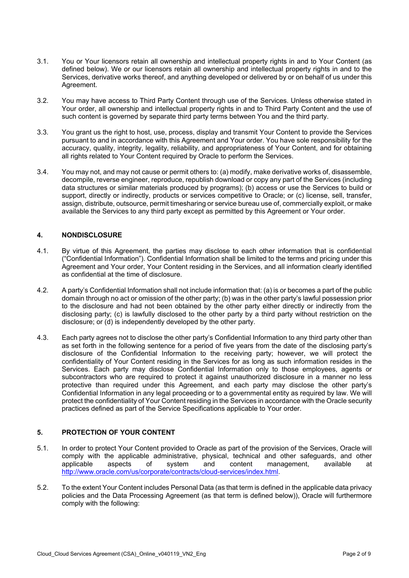- 3.1. You or Your licensors retain all ownership and intellectual property rights in and to Your Content (as defined below). We or our licensors retain all ownership and intellectual property rights in and to the Services, derivative works thereof, and anything developed or delivered by or on behalf of us under this Agreement.
- 3.2. You may have access to Third Party Content through use of the Services. Unless otherwise stated in Your order, all ownership and intellectual property rights in and to Third Party Content and the use of such content is governed by separate third party terms between You and the third party.
- 3.3. You grant us the right to host, use, process, display and transmit Your Content to provide the Services pursuant to and in accordance with this Agreement and Your order. You have sole responsibility for the accuracy, quality, integrity, legality, reliability, and appropriateness of Your Content, and for obtaining all rights related to Your Content required by Oracle to perform the Services.
- 3.4. You may not, and may not cause or permit others to: (a) modify, make derivative works of, disassemble, decompile, reverse engineer, reproduce, republish download or copy any part of the Services (including data structures or similar materials produced by programs); (b) access or use the Services to build or support, directly or indirectly, products or services competitive to Oracle; or (c) license, sell, transfer, assign, distribute, outsource, permit timesharing or service bureau use of, commercially exploit, or make available the Services to any third party except as permitted by this Agreement or Your order.

## **4. NONDISCLOSURE**

- 4.1. By virtue of this Agreement, the parties may disclose to each other information that is confidential ("Confidential Information"). Confidential Information shall be limited to the terms and pricing under this Agreement and Your order, Your Content residing in the Services, and all information clearly identified as confidential at the time of disclosure.
- 4.2. A party's Confidential Information shall not include information that: (a) is or becomes a part of the public domain through no act or omission of the other party; (b) was in the other party's lawful possession prior to the disclosure and had not been obtained by the other party either directly or indirectly from the disclosing party; (c) is lawfully disclosed to the other party by a third party without restriction on the disclosure; or (d) is independently developed by the other party.
- 4.3. Each party agrees not to disclose the other party's Confidential Information to any third party other than as set forth in the following sentence for a period of five years from the date of the disclosing party's disclosure of the Confidential Information to the receiving party; however, we will protect the confidentiality of Your Content residing in the Services for as long as such information resides in the Services. Each party may disclose Confidential Information only to those employees, agents or subcontractors who are required to protect it against unauthorized disclosure in a manner no less protective than required under this Agreement, and each party may disclose the other party's Confidential Information in any legal proceeding or to a governmental entity as required by law. We will protect the confidentiality of Your Content residing in the Services in accordance with the Oracle security practices defined as part of the Service Specifications applicable to Your order.

# **5. PROTECTION OF YOUR CONTENT**

- 5.1. In order to protect Your Content provided to Oracle as part of the provision of the Services, Oracle will comply with the applicable administrative, physical, technical and other safeguards, and other applicable at applicable at applicable at of system and content management, available at [http://www.oracle.com/us/corporate/contracts/cloud-services/index.html.](http://www.oracle.com/us/corporate/contracts/cloud-services/index.html)
- 5.2. To the extent Your Content includes Personal Data (as that term is defined in the applicable data privacy policies and the Data Processing Agreement (as that term is defined below)), Oracle will furthermore comply with the following: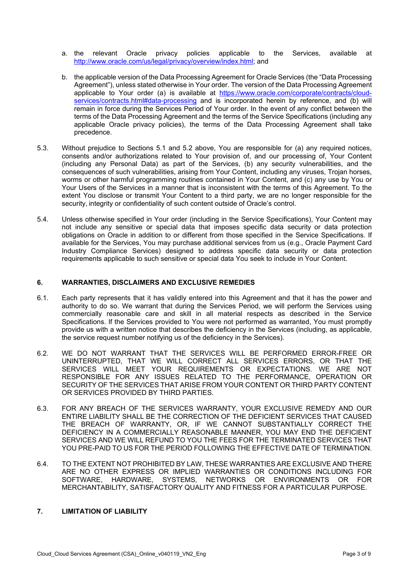- a. the relevant Oracle privacy policies applicable to the Services, available at [http://www.oracle.com/us/legal/privacy/overview/index.html;](http://www.oracle.com/us/legal/privacy/overview/index.html) and
- b. the applicable version of the Data Processing Agreement for Oracle Services (the "Data Processing Agreement"), unless stated otherwise in Your order. The version of the Data Processing Agreement applicable to Your order (a) is available at [https://www.oracle.com/corporate/contracts/cloud](https://www.oracle.com/corporate/contracts/cloud-services/contracts.html#data-processing)[services/contracts.html#data-processing](https://www.oracle.com/corporate/contracts/cloud-services/contracts.html#data-processing) and is incorporated herein by reference, and (b) will remain in force during the Services Period of Your order. In the event of any conflict between the terms of the Data Processing Agreement and the terms of the Service Specifications (including any applicable Oracle privacy policies), the terms of the Data Processing Agreement shall take precedence.
- 5.3. Without prejudice to Sections 5.1 and 5.2 above, You are responsible for (a) any required notices, consents and/or authorizations related to Your provision of, and our processing of, Your Content (including any Personal Data) as part of the Services, (b) any security vulnerabilities, and the consequences of such vulnerabilities, arising from Your Content, including any viruses, Trojan horses, worms or other harmful programming routines contained in Your Content, and (c) any use by You or Your Users of the Services in a manner that is inconsistent with the terms of this Agreement. To the extent You disclose or transmit Your Content to a third party, we are no longer responsible for the security, integrity or confidentiality of such content outside of Oracle's control.
- 5.4. Unless otherwise specified in Your order (including in the Service Specifications), Your Content may not include any sensitive or special data that imposes specific data security or data protection obligations on Oracle in addition to or different from those specified in the Service Specifications. If available for the Services, You may purchase additional services from us (e.g., Oracle Payment Card Industry Compliance Services) designed to address specific data security or data protection requirements applicable to such sensitive or special data You seek to include in Your Content.

#### **6. WARRANTIES, DISCLAIMERS AND EXCLUSIVE REMEDIES**

- 6.1. Each party represents that it has validly entered into this Agreement and that it has the power and authority to do so. We warrant that during the Services Period, we will perform the Services using commercially reasonable care and skill in all material respects as described in the Service Specifications. If the Services provided to You were not performed as warranted, You must promptly provide us with a written notice that describes the deficiency in the Services (including, as applicable, the service request number notifying us of the deficiency in the Services).
- 6.2. WE DO NOT WARRANT THAT THE SERVICES WILL BE PERFORMED ERROR-FREE OR UNINTERRUPTED, THAT WE WILL CORRECT ALL SERVICES ERRORS, OR THAT THE SERVICES WILL MEET YOUR REQUIREMENTS OR EXPECTATIONS. WE ARE NOT RESPONSIBLE FOR ANY ISSUES RELATED TO THE PERFORMANCE, OPERATION OR SECURITY OF THE SERVICES THAT ARISE FROM YOUR CONTENT OR THIRD PARTY CONTENT OR SERVICES PROVIDED BY THIRD PARTIES.
- 6.3. FOR ANY BREACH OF THE SERVICES WARRANTY, YOUR EXCLUSIVE REMEDY AND OUR ENTIRE LIABILITY SHALL BE THE CORRECTION OF THE DEFICIENT SERVICES THAT CAUSED THE BREACH OF WARRANTY, OR, IF WE CANNOT SUBSTANTIALLY CORRECT THE DEFICIENCY IN A COMMERCIALLY REASONABLE MANNER, YOU MAY END THE DEFICIENT SERVICES AND WE WILL REFUND TO YOU THE FEES FOR THE TERMINATED SERVICES THAT YOU PRE-PAID TO US FOR THE PERIOD FOLLOWING THE EFFECTIVE DATE OF TERMINATION.
- 6.4. TO THE EXTENT NOT PROHIBITED BY LAW, THESE WARRANTIES ARE EXCLUSIVE AND THERE ARE NO OTHER EXPRESS OR IMPLIED WARRANTIES OR CONDITIONS INCLUDING FOR SOFTWARE, HARDWARE, SYSTEMS, NETWORKS OR ENVIRONMENTS OR FOR MERCHANTABILITY, SATISFACTORY QUALITY AND FITNESS FOR A PARTICULAR PURPOSE.

# **7. LIMITATION OF LIABILITY**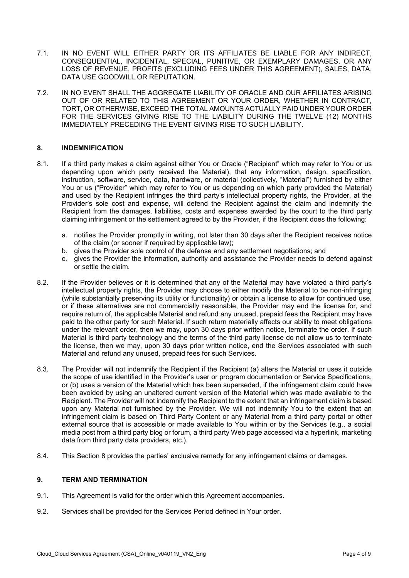- 7.1. IN NO EVENT WILL EITHER PARTY OR ITS AFFILIATES BE LIABLE FOR ANY INDIRECT, CONSEQUENTIAL, INCIDENTAL, SPECIAL, PUNITIVE, OR EXEMPLARY DAMAGES, OR ANY LOSS OF REVENUE, PROFITS (EXCLUDING FEES UNDER THIS AGREEMENT), SALES, DATA, DATA USE GOODWILL OR REPUTATION.
- 7.2. IN NO EVENT SHALL THE AGGREGATE LIABILITY OF ORACLE AND OUR AFFILIATES ARISING OUT OF OR RELATED TO THIS AGREEMENT OR YOUR ORDER, WHETHER IN CONTRACT, TORT, OR OTHERWISE, EXCEED THE TOTAL AMOUNTS ACTUALLY PAID UNDER YOUR ORDER FOR THE SERVICES GIVING RISE TO THE LIABILITY DURING THE TWELVE (12) MONTHS IMMEDIATELY PRECEDING THE EVENT GIVING RISE TO SUCH LIABILITY.

#### **8. INDEMNIFICATION**

- 8.1. If a third party makes a claim against either You or Oracle ("Recipient" which may refer to You or us depending upon which party received the Material), that any information, design, specification, instruction, software, service, data, hardware, or material (collectively, "Material") furnished by either You or us ("Provider" which may refer to You or us depending on which party provided the Material) and used by the Recipient infringes the third party's intellectual property rights, the Provider, at the Provider's sole cost and expense, will defend the Recipient against the claim and indemnify the Recipient from the damages, liabilities, costs and expenses awarded by the court to the third party claiming infringement or the settlement agreed to by the Provider, if the Recipient does the following:
	- a. notifies the Provider promptly in writing, not later than 30 days after the Recipient receives notice of the claim (or sooner if required by applicable law);
	- b. gives the Provider sole control of the defense and any settlement negotiations; and
	- c. gives the Provider the information, authority and assistance the Provider needs to defend against or settle the claim.
- 8.2. If the Provider believes or it is determined that any of the Material may have violated a third party's intellectual property rights, the Provider may choose to either modify the Material to be non-infringing (while substantially preserving its utility or functionality) or obtain a license to allow for continued use, or if these alternatives are not commercially reasonable, the Provider may end the license for, and require return of, the applicable Material and refund any unused, prepaid fees the Recipient may have paid to the other party for such Material. If such return materially affects our ability to meet obligations under the relevant order, then we may, upon 30 days prior written notice, terminate the order. If such Material is third party technology and the terms of the third party license do not allow us to terminate the license, then we may, upon 30 days prior written notice, end the Services associated with such Material and refund any unused, prepaid fees for such Services.
- 8.3. The Provider will not indemnify the Recipient if the Recipient (a) alters the Material or uses it outside the scope of use identified in the Provider's user or program documentation or Service Specifications, or (b) uses a version of the Material which has been superseded, if the infringement claim could have been avoided by using an unaltered current version of the Material which was made available to the Recipient. The Provider will not indemnify the Recipient to the extent that an infringement claim is based upon any Material not furnished by the Provider. We will not indemnify You to the extent that an infringement claim is based on Third Party Content or any Material from a third party portal or other external source that is accessible or made available to You within or by the Services (e.g., a social media post from a third party blog or forum, a third party Web page accessed via a hyperlink, marketing data from third party data providers, etc.).
- 8.4. This Section 8 provides the parties' exclusive remedy for any infringement claims or damages.

#### **9. TERM AND TERMINATION**

- 9.1. This Agreement is valid for the order which this Agreement accompanies.
- 9.2. Services shall be provided for the Services Period defined in Your order.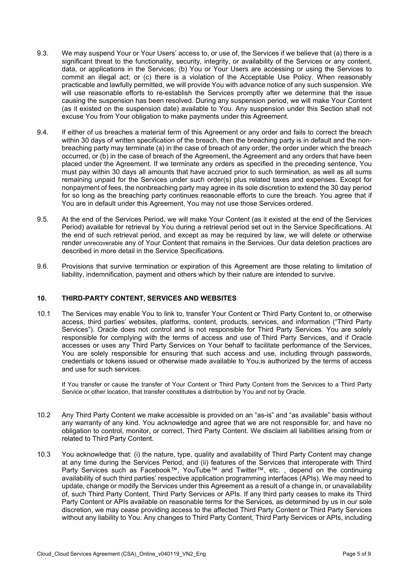- 9.3. We may suspend Your or Your Users' access to, or use of, the Services if we believe that (a) there is a significant threat to the functionality, security, integrity, or availability of the Services or any content, data, or applications in the Services; (b) You or Your Users are accessing or using the Services to commit an illegal act; or (c) there is a violation of the Acceptable Use Policy. When reasonably practicable and lawfully permitted, we will provide You with advance notice of any such suspension. We will use reasonable efforts to re-establish the Services promptly after we determine that the issue causing the suspension has been resolved. During any suspension period, we will make Your Content (as it existed on the suspension date) available to You. Any suspension under this Section shall not excuse You from Your obligation to make payments under this Agreement.
- 9.4. If either of us breaches a material term of this Agreement or any order and fails to correct the breach within 30 days of written specification of the breach, then the breaching party is in default and the nonbreaching party may terminate (a) in the case of breach of any order, the order under which the breach occurred, or (b) in the case of breach of the Agreement, the Agreement and any orders that have been placed under the Agreement. If we terminate any orders as specified in the preceding sentence, You must pay within 30 days all amounts that have accrued prior to such termination, as well as all sums remaining unpaid for the Services under such order(s) plus related taxes and expenses. Except for nonpayment of fees, the nonbreaching party may agree in its sole discretion to extend the 30 day period for so long as the breaching party continues reasonable efforts to cure the breach. You agree that if You are in default under this Agreement, You may not use those Services ordered.
- 9.5. At the end of the Services Period, we will make Your Content (as it existed at the end of the Services Period) available for retrieval by You during a retrieval period set out in the Service Specifications. At the end of such retrieval period, and except as may be required by law, we will delete or otherwise render unrecoverable any of Your Content that remains in the Services. Our data deletion practices are described in more detail in the Service Specifications.
- 9.6. Provisions that survive termination or expiration of this Agreement are those relating to limitation of liability, indemnification, payment and others which by their nature are intended to survive.

#### **10. THIRD-PARTY CONTENT, SERVICES AND WEBSITES**

10.1 The Services may enable You to link to, transfer Your Content or Third Party Content to, or otherwise access, third parties' websites, platforms, content, products, services, and information ("Third Party Services"). Oracle does not control and is not responsible for Third Party Services. You are solely responsible for complying with the terms of access and use of Third Party Services, and if Oracle accesses or uses any Third Party Services on Your behalf to facilitate performance of the Services, You are solely responsible for ensuring that such access and use, including through passwords, credentials or tokens issued or otherwise made available to You,is authorized by the terms of access and use for such services.

If You transfer or cause the transfer of Your Content or Third Party Content from the Services to a Third Party Service or other location, that transfer constitutes a distribution by You and not by Oracle.

- 10.2 Any Third Party Content we make accessible is provided on an "as-is" and "as available" basis without any warranty of any kind. You acknowledge and agree that we are not responsible for, and have no obligation to control, monitor, or correct, Third Party Content. We disclaim all liabilities arising from or related to Third Party Content.
- 10.3 You acknowledge that: (i) the nature, type, quality and availability of Third Party Content may change at any time during the Services Period, and (ii) features of the Services that interoperate with Third Party Services such as Facebook™, YouTube™ and Twitter™, etc. , depend on the continuing availability of such third parties' respective application programming interfaces (APIs). We may need to update, change or modify the Services under this Agreement as a result of a change in, or unavailability of, such Third Party Content, Third Party Services or APIs. If any third party ceases to make its Third Party Content or APIs available on reasonable terms for the Services, as determined by us in our sole discretion, we may cease providing access to the affected Third Party Content or Third Party Services without any liability to You. Any changes to Third Party Content, Third Party Services or APIs, including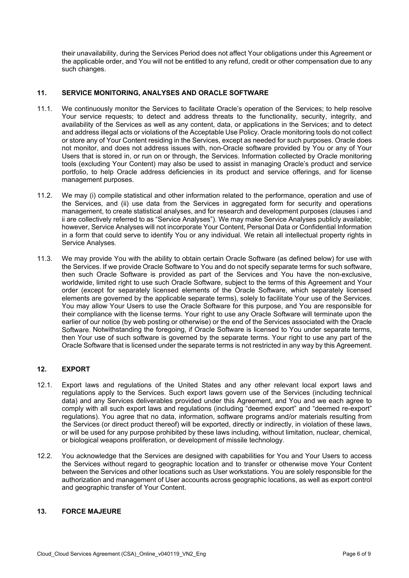their unavailability, during the Services Period does not affect Your obligations under this Agreement or the applicable order, and You will not be entitled to any refund, credit or other compensation due to any such changes.

# **11. SERVICE MONITORING, ANALYSES AND ORACLE SOFTWARE**

- 11.1. We continuously monitor the Services to facilitate Oracle's operation of the Services; to help resolve Your service requests; to detect and address threats to the functionality, security, integrity, and availability of the Services as well as any content, data, or applications in the Services; and to detect and address illegal acts or violations of the Acceptable Use Policy. Oracle monitoring tools do not collect or store any of Your Content residing in the Services, except as needed for such purposes. Oracle does not monitor, and does not address issues with, non-Oracle software provided by You or any of Your Users that is stored in, or run on or through, the Services. Information collected by Oracle monitoring tools (excluding Your Content) may also be used to assist in managing Oracle's product and service portfolio, to help Oracle address deficiencies in its product and service offerings, and for license management purposes.
- 11.2. We may (i) compile statistical and other information related to the performance, operation and use of the Services, and (ii) use data from the Services in aggregated form for security and operations management, to create statistical analyses, and for research and development purposes (clauses i and ii are collectively referred to as "Service Analyses"). We may make Service Analyses publicly available; however, Service Analyses will not incorporate Your Content, Personal Data or Confidential Information in a form that could serve to identify You or any individual. We retain all intellectual property rights in Service Analyses.
- 11.3. We may provide You with the ability to obtain certain Oracle Software (as defined below) for use with the Services. If we provide Oracle Software to You and do not specify separate terms for such software, then such Oracle Software is provided as part of the Services and You have the non-exclusive, worldwide, limited right to use such Oracle Software, subject to the terms of this Agreement and Your order (except for separately licensed elements of the Oracle Software, which separately licensed elements are governed by the applicable separate terms), solely to facilitate Your use of the Services. You may allow Your Users to use the Oracle Software for this purpose, and You are responsible for their compliance with the license terms. Your right to use any Oracle Software will terminate upon the earlier of our notice (by web posting or otherwise) or the end of the Services associated with the Oracle Software. Notwithstanding the foregoing, if Oracle Software is licensed to You under separate terms, then Your use of such software is governed by the separate terms. Your right to use any part of the Oracle Software that is licensed under the separate terms is not restricted in any way by this Agreement.

# **12. EXPORT**

- 12.1. Export laws and regulations of the United States and any other relevant local export laws and regulations apply to the Services. Such export laws govern use of the Services (including technical data) and any Services deliverables provided under this Agreement, and You and we each agree to comply with all such export laws and regulations (including "deemed export" and "deemed re-export" regulations). You agree that no data, information, software programs and/or materials resulting from the Services (or direct product thereof) will be exported, directly or indirectly, in violation of these laws, or will be used for any purpose prohibited by these laws including, without limitation, nuclear, chemical, or biological weapons proliferation, or development of missile technology.
- 12.2. You acknowledge that the Services are designed with capabilities for You and Your Users to access the Services without regard to geographic location and to transfer or otherwise move Your Content between the Services and other locations such as User workstations. You are solely responsible for the authorization and management of User accounts across geographic locations, as well as export control and geographic transfer of Your Content.

# **13. FORCE MAJEURE**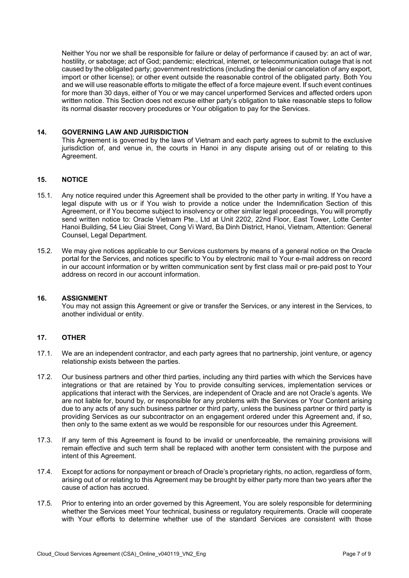Neither You nor we shall be responsible for failure or delay of performance if caused by: an act of war, hostility, or sabotage; act of God; pandemic; electrical, internet, or telecommunication outage that is not caused by the obligated party; government restrictions (including the denial or cancelation of any export, import or other license); or other event outside the reasonable control of the obligated party. Both You and we will use reasonable efforts to mitigate the effect of a force majeure event. If such event continues for more than 30 days, either of You or we may cancel unperformed Services and affected orders upon written notice. This Section does not excuse either party's obligation to take reasonable steps to follow its normal disaster recovery procedures or Your obligation to pay for the Services.

#### **14. GOVERNING LAW AND JURISDICTION**

This Agreement is governed by the laws of Vietnam and each party agrees to submit to the exclusive jurisdiction of, and venue in, the courts in Hanoi in any dispute arising out of or relating to this Agreement.

### **15. NOTICE**

- 15.1. Any notice required under this Agreement shall be provided to the other party in writing. If You have a legal dispute with us or if You wish to provide a notice under the Indemnification Section of this Agreement, or if You become subject to insolvency or other similar legal proceedings, You will promptly send written notice to: Oracle Vietnam Pte., Ltd at Unit 2202, 22nd Floor, East Tower, Lotte Center Hanoi Building, 54 Lieu Giai Street, Cong Vi Ward, Ba Dinh District, Hanoi, Vietnam, Attention: General Counsel, Legal Department.
- 15.2. We may give notices applicable to our Services customers by means of a general notice on the Oracle portal for the Services, and notices specific to You by electronic mail to Your e-mail address on record in our account information or by written communication sent by first class mail or pre-paid post to Your address on record in our account information.

#### **16. ASSIGNMENT**

You may not assign this Agreement or give or transfer the Services, or any interest in the Services, to another individual or entity.

#### **17. OTHER**

- 17.1. We are an independent contractor, and each party agrees that no partnership, joint venture, or agency relationship exists between the parties.
- 17.2. Our business partners and other third parties, including any third parties with which the Services have integrations or that are retained by You to provide consulting services, implementation services or applications that interact with the Services, are independent of Oracle and are not Oracle's agents. We are not liable for, bound by, or responsible for any problems with the Services or Your Content arising due to any acts of any such business partner or third party, unless the business partner or third party is providing Services as our subcontractor on an engagement ordered under this Agreement and, if so, then only to the same extent as we would be responsible for our resources under this Agreement.
- 17.3. If any term of this Agreement is found to be invalid or unenforceable, the remaining provisions will remain effective and such term shall be replaced with another term consistent with the purpose and intent of this Agreement.
- 17.4. Except for actions for nonpayment or breach of Oracle's proprietary rights, no action, regardless of form, arising out of or relating to this Agreement may be brought by either party more than two years after the cause of action has accrued.
- 17.5. Prior to entering into an order governed by this Agreement, You are solely responsible for determining whether the Services meet Your technical, business or regulatory requirements. Oracle will cooperate with Your efforts to determine whether use of the standard Services are consistent with those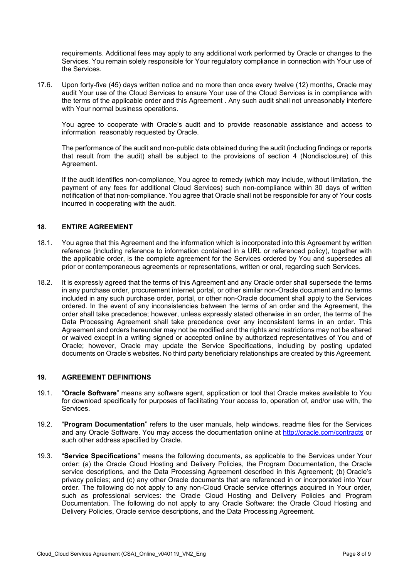requirements. Additional fees may apply to any additional work performed by Oracle or changes to the Services. You remain solely responsible for Your regulatory compliance in connection with Your use of the Services.

17.6. Upon forty-five (45) days written notice and no more than once every twelve (12) months, Oracle may audit Your use of the Cloud Services to ensure Your use of the Cloud Services is in compliance with the terms of the applicable order and this Agreement . Any such audit shall not unreasonably interfere with Your normal business operations.

You agree to cooperate with Oracle's audit and to provide reasonable assistance and access to information reasonably requested by Oracle.

The performance of the audit and non-public data obtained during the audit (including findings or reports that result from the audit) shall be subject to the provisions of section 4 (Nondisclosure) of this Agreement.

If the audit identifies non-compliance, You agree to remedy (which may include, without limitation, the payment of any fees for additional Cloud Services) such non-compliance within 30 days of written notification of that non-compliance. You agree that Oracle shall not be responsible for any of Your costs incurred in cooperating with the audit.

#### **18. ENTIRE AGREEMENT**

- 18.1. You agree that this Agreement and the information which is incorporated into this Agreement by written reference (including reference to information contained in a URL or referenced policy), together with the applicable order, is the complete agreement for the Services ordered by You and supersedes all prior or contemporaneous agreements or representations, written or oral, regarding such Services.
- 18.2. It is expressly agreed that the terms of this Agreement and any Oracle order shall supersede the terms in any purchase order, procurement internet portal, or other similar non-Oracle document and no terms included in any such purchase order, portal, or other non-Oracle document shall apply to the Services ordered. In the event of any inconsistencies between the terms of an order and the Agreement, the order shall take precedence; however, unless expressly stated otherwise in an order, the terms of the Data Processing Agreement shall take precedence over any inconsistent terms in an order. This Agreement and orders hereunder may not be modified and the rights and restrictions may not be altered or waived except in a writing signed or accepted online by authorized representatives of You and of Oracle; however, Oracle may update the Service Specifications, including by posting updated documents on Oracle's websites. No third party beneficiary relationships are created by this Agreement.

#### **19. AGREEMENT DEFINITIONS**

- 19.1. "**Oracle Software**" means any software agent, application or tool that Oracle makes available to You for download specifically for purposes of facilitating Your access to, operation of, and/or use with, the Services.
- 19.2. "**Program Documentation**" refers to the user manuals, help windows, readme files for the Services and any Oracle Software. You may access the documentation online at<http://oracle.com/contracts> or such other address specified by Oracle.
- 19.3. "**Service Specifications**" means the following documents, as applicable to the Services under Your order: (a) the Oracle Cloud Hosting and Delivery Policies, the Program Documentation, the Oracle service descriptions, and the Data Processing Agreement described in this Agreement; (b) Oracle's privacy policies; and (c) any other Oracle documents that are referenced in or incorporated into Your order. The following do not apply to any non-Cloud Oracle service offerings acquired in Your order, such as professional services: the Oracle Cloud Hosting and Delivery Policies and Program Documentation. The following do not apply to any Oracle Software: the Oracle Cloud Hosting and Delivery Policies, Oracle service descriptions, and the Data Processing Agreement.